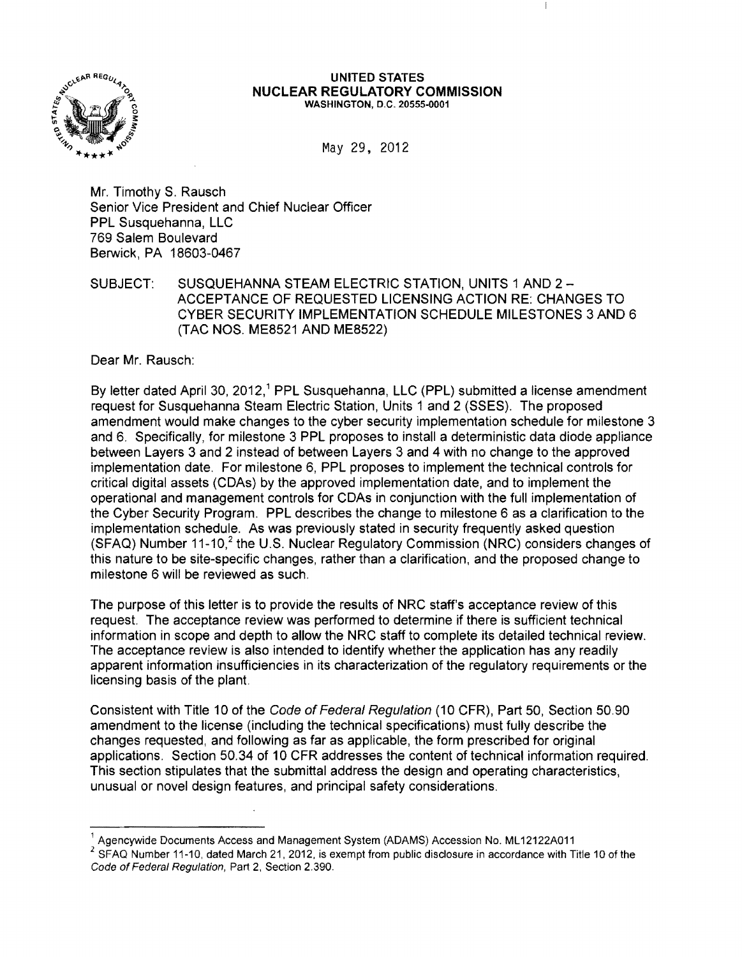

## UNITED STATES **NUCLEAR REGULATORY COMMISSION**  WASHINGTON, D.C. 20555-0001

May 29, 2012

Mr. Timothy S. Rausch Senior Vice President and Chief Nuclear Officer PPL Susquehanna, LLC 769 Salem Boulevard Berwick, PA 18603-0467

SUBJECT: SUSQUEHANNA STEAM ELECTRIC STATION, UNITS 1 AND 2 ACCEPTANCE OF REQUESTED LICENSING ACTION RE: CHANGES TO CYBER SECURITY IMPLEMENTATION SCHEDULE MILESTONES 3 AND 6 (TAC NOS. ME8521 AND ME8522)

Dear Mr. Rausch:

By letter dated April 30, 2012,<sup>1</sup> PPL Susquehanna, LLC (PPL) submitted a license amendment request for Susquehanna Steam Electric Station, Units 1 and 2 (SSES). The proposed amendment would make changes to the cyber security implementation schedule for milestone 3 and 6. Specifically, for milestone 3 PPL proposes to install a deterministic data diode appliance between Layers 3 and 2 instead of between Layers 3 and 4 with no change to the approved implementation date. For milestone 6, PPL proposes to implement the technical controls for critical digital assets (CDAs) by the approved implementation date, and to implement the operational and management controls for CDAs in conjunction with the full implementation of the Cyber Security Program. PPL describes the change to milestone 6 as a clarification to the implementation schedule. As was previously stated in security frequently asked question  $(SFAQ)$  Number 11-10,<sup>2</sup> the U.S. Nuclear Regulatory Commission (NRC) considers changes of this nature to be site-specific changes, rather than a clarification, and the proposed change to milestone 6 will be reviewed as such.

The purpose of this letter is to provide the results of NRC staff's acceptance review of this request. The acceptance review was performed to determine if there is sufficient technical information in scope and depth to allow the NRC staff to complete its detailed technical review. The acceptance review is also intended to identify whether the application has any readily apparent information insufficiencies in its characterization of the regulatory requirements or the licensing basis of the plant.

Consistent with Title 10 of the Code of Federal Regulation (10 CFR), Part 50, Section 50.90 amendment to the license (including the technical specifications) must fully describe the changes requested, and following as far as applicable, the form prescribed for original applications. Section 50.34 of 10 CFR addresses the content of technical information required. This section stipulates that the submittal address the design and operating characteristics, unusual or novel design features, and principal safety considerations.

<sup>1</sup> Agencywide Documents Access and Management System (ADAMS) Accession No. ML 12122A011

 $2$  SFAQ Number 11-10, dated March 21, 2012, is exempt from public disclosure in accordance with Title 10 of the Code of Federal Regulation, Part 2, Section 2.390.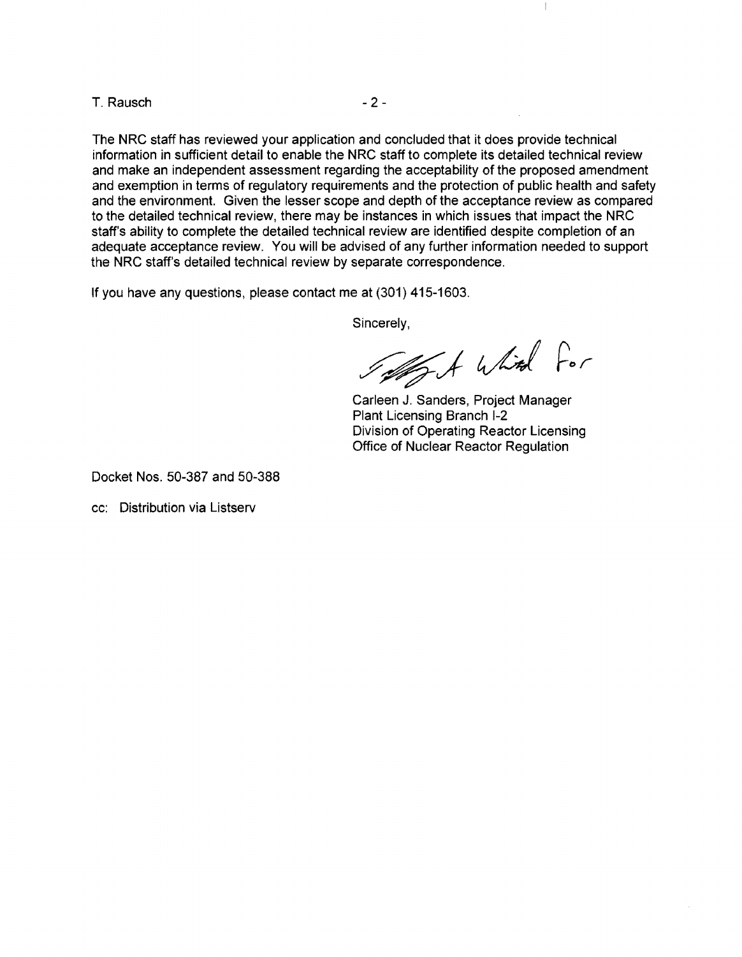$T.$  Rausch  $-2$  -

The NRC staff has reviewed your application and concluded that it does provide technical information in sufficient detail to enable the NRC staff to complete its detailed technical review and make an independent assessment regarding the acceptability of the proposed amendment and exemption in terms of regulatory requirements and the protection of public health and safety and the environment. Given the lesser scope and depth of the acceptance review as compared to the detailed technical review, there may be instances in which issues that impact the NRC staff's ability to complete the detailed technical review are identified despite completion of an adequate acceptance review. You will be advised of any further information needed to support the NRC staff's detailed technical review by separate correspondence.

**If** you have any questions, please contact me at (301) 415-1603.

Sincerely,

Total White For

 $\overline{\phantom{a}}$ 

Carleen J. Sanders, Project Manager Plant Licensing Branch 1-2 Division of Operating Reactor Licensing Office of Nuclear Reactor Regulation

Docket Nos. 50-387 and 50-388

cc: Distribution via Listserv